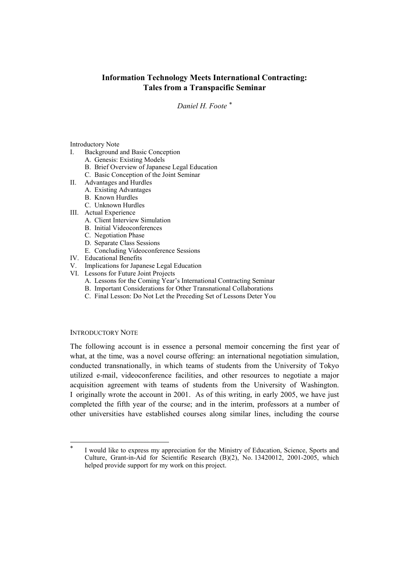# **Information Technology Meets International Contracting: Tales from a Transpacific Seminar**

*Daniel H. Foote [\\*](#page-0-0)*

#### Introductory Note

- I. Background and Basic Conception
	- A. Genesis: Existing Models
	- B. Brief Overview of Japanese Legal Education
	- C. Basic Conception of the Joint Seminar
- II. Advantages and Hurdles
	- A. Existing Advantages
	- B. Known Hurdles
	- C. Unknown Hurdles
- III. Actual Experience
	- A. Client Interview Simulation
	- B. Initial Videoconferences
	- C. Negotiation Phase
	- D. Separate Class Sessions
	- E. Concluding Videoconference Sessions
- IV. Educational Benefits
- V. Implications for Japanese Legal Education
- VI. Lessons for Future Joint Projects
	- A. Lessons for the Coming Year's International Contracting Seminar
	- B. Important Considerations for Other Transnational Collaborations
	- C. Final Lesson: Do Not Let the Preceding Set of Lessons Deter You

### INTRODUCTORY NOTE

 $\overline{\phantom{a}}$ 

The following account is in essence a personal memoir concerning the first year of what, at the time, was a novel course offering: an international negotiation simulation, conducted transnationally, in which teams of students from the University of Tokyo utilized e-mail, videoconference facilities, and other resources to negotiate a major acquisition agreement with teams of students from the University of Washington. I originally wrote the account in 2001. As of this writing, in early 2005, we have just completed the fifth year of the course; and in the interim, professors at a number of other universities have established courses along similar lines, including the course

<span id="page-0-0"></span>I would like to express my appreciation for the Ministry of Education, Science, Sports and Culture, Grant-in-Aid for Scientific Research (B)(2), No. 13420012, 2001-2005, which helped provide support for my work on this project.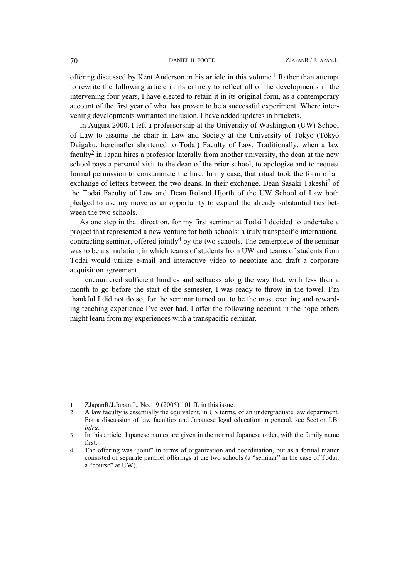offering discussed by Kent Anderson in his article in this volume. [1](#page-1-0) Rather than attempt to rewrite the following article in its entirety to reflect all of the developments in the intervening four years, I have elected to retain it in its original form, as a contemporary account of the first year of what has proven to be a successful experiment. Where intervening developments warranted inclusion, I have added updates in brackets.

In August 2000, I left a professorship at the University of Washington (UW) School of Law to assume the chair in Law and Society at the University of Tokyo (Tôkyô Daigaku, hereinafter shortened to Todai) Faculty of Law. Traditionally, when a law faculty<sup>[2](#page-1-1)</sup> in Japan hires a professor laterally from another university, the dean at the new school pays a personal visit to the dean of the prior school, to apologize and to request formal permission to consummate the hire. In my case, that ritual took the form of an exchange of letters between the two deans. In their exchange, Dean Sasaki Takeshi<sup>3</sup> of the Todai Faculty of Law and Dean Roland Hjorth of the UW School of Law both pledged to use my move as an opportunity to expand the already substantial ties between the two schools.

As one step in that direction, for my first seminar at Todai I decided to undertake a project that represented a new venture for both schools: a truly transpacific international contracting seminar, offered jointly<sup>4</sup> by the two schools. The centerpiece of the seminar was to be a simulation, in which teams of students from UW and teams of students from Todai would utilize e-mail and interactive video to negotiate and draft a corporate acquisition agreement.

I encountered sufficient hurdles and setbacks along the way that, with less than a month to go before the start of the semester, I was ready to throw in the towel. I'm thankful I did not do so, for the seminar turned out to be the most exciting and rewarding teaching experience I've ever had. I offer the following account in the hope others might learn from my experiences with a transpacific seminar.

l

<span id="page-1-0"></span><sup>1</sup> ZJapanR/J.Japan.L. No. 19 (2005) 101 ff. in this issue.

<span id="page-1-1"></span><sup>2</sup> A law faculty is essentially the equivalent, in US terms, of an undergraduate law department. For a discussion of law faculties and Japanese legal education in general, see Section I.B. *infra*.

<span id="page-1-2"></span><sup>3</sup> In this article, Japanese names are given in the normal Japanese order, with the family name first.

<span id="page-1-3"></span><sup>4</sup> The offering was "joint" in terms of organization and coordination, but as a formal matter consisted of separate parallel offerings at the two schools (a "seminar" in the case of Todai, a "course" at UW).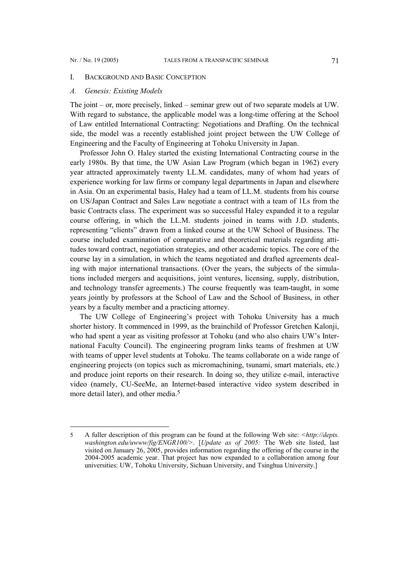l

### I. BACKGROUND AND BASIC CONCEPTION

## *A. Genesis: Existing Models*

The joint – or, more precisely, linked – seminar grew out of two separate models at UW. With regard to substance, the applicable model was a long-time offering at the School of Law entitled International Contracting: Negotiations and Drafting. On the technical side, the model was a recently established joint project between the UW College of Engineering and the Faculty of Engineering at Tohoku University in Japan.

Professor John O. Haley started the existing International Contracting course in the early 1980s. By that time, the UW Asian Law Program (which began in 1962) every year attracted approximately twenty LL.M. candidates, many of whom had years of experience working for law firms or company legal departments in Japan and elsewhere in Asia. On an experimental basis, Haley had a team of LL.M. students from his course on US/Japan Contract and Sales Law negotiate a contract with a team of 1Ls from the basic Contracts class. The experiment was so successful Haley expanded it to a regular course offering, in which the LL.M. students joined in teams with J.D. students, representing "clients" drawn from a linked course at the UW School of Business. The course included examination of comparative and theoretical materials regarding attitudes toward contract, negotiation strategies, and other academic topics. The core of the course lay in a simulation, in which the teams negotiated and drafted agreements dealing with major international transactions. (Over the years, the subjects of the simulations included mergers and acquisitions, joint ventures, licensing, supply, distribution, and technology transfer agreements.) The course frequently was team-taught, in some years jointly by professors at the School of Law and the School of Business, in other years by a faculty member and a practicing attorney.

The UW College of Engineering's project with Tohoku University has a much shorter history. It commenced in 1999, as the brainchild of Professor Gretchen Kalonji, who had spent a year as visiting professor at Tohoku (and who also chairs UW's International Faculty Council). The engineering program links teams of freshmen at UW with teams of upper level students at Tohoku. The teams collaborate on a wide range of engineering projects (on topics such as micromachining, tsunami, smart materials, etc.) and produce joint reports on their research. In doing so, they utilize e-mail, interactive video (namely, CU-SeeMe, an Internet-based interactive video system described in more detail later), and other media.<sup>[5](#page-2-0)</sup>

<span id="page-2-0"></span><sup>5</sup> A fuller description of this program can be found at the following Web site: *[<http://depts.](http://depts.washington.edu/uwww/fig/ENGR100/)  [washington.edu/uwww/fig/ENGR100/](http://depts.washington.edu/uwww/fig/ENGR100/)>*. [*Update as of 2005:* The Web site listed, last visited on January 26, 2005, provides information regarding the offering of the course in the 2004-2005 academic year. That project has now expanded to a collaboration among four universities: UW, Tohoku University, Sichuan University, and Tsinghua University.]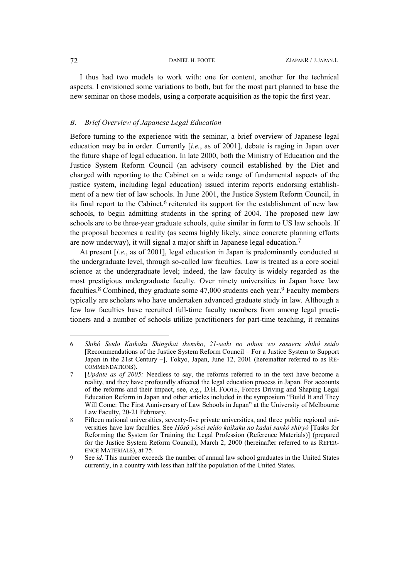I thus had two models to work with: one for content, another for the technical aspects. I envisioned some variations to both, but for the most part planned to base the new seminar on those models, using a corporate acquisition as the topic the first year.

#### *B. Brief Overview of Japanese Legal Education*

Before turning to the experience with the seminar, a brief overview of Japanese legal education may be in order. Currently [*i.e.*, as of 2001], debate is raging in Japan over the future shape of legal education. In late 2000, both the Ministry of Education and the Justice System Reform Council (an advisory council established by the Diet and charged with reporting to the Cabinet on a wide range of fundamental aspects of the justice system, including legal education) issued interim reports endorsing establishment of a new tier of law schools. In June 2001, the Justice System Reform Council, in its final report to the Cabinet,<sup>6</sup> reiterated its support for the establishment of new law schools, to begin admitting students in the spring of 2004. The proposed new law schools are to be three-year graduate schools, quite similar in form to US law schools. If the proposal becomes a reality (as seems highly likely, since concrete planning efforts are now underway), it will signal a major shift in Japanese legal education[.7](#page-3-1) 

At present [*i.e.*, as of 2001], legal education in Japan is predominantly conducted at the undergraduate level, through so-called law faculties. Law is treated as a core social science at the undergraduate level; indeed, the law faculty is widely regarded as the most prestigious undergraduate faculty. Over ninety universities in Japan have law faculties.<sup>[8](#page-3-2)</sup> Combined, they graduate some  $47,000$  students each year.<sup>9</sup> Faculty members typically are scholars who have undertaken advanced graduate study in law. Although a few law faculties have recruited full-time faculty members from among legal practitioners and a number of schools utilize practitioners for part-time teaching, it remains

 $\overline{\phantom{a}}$ 

<span id="page-3-0"></span><sup>6</sup> *Shihô Seido Kaikaku Shingikai ikensho*, *21-seiki no nihon wo sasaeru shihô seido* [Recommendations of the Justice System Reform Council – For a Justice System to Support Japan in the 21st Century –], Tokyo, Japan, June 12, 2001 (hereinafter referred to as RE-COMMENDATIONS).

<span id="page-3-1"></span><sup>7 [</sup>*Update as of 2005:* Needless to say, the reforms referred to in the text have become a reality, and they have profoundly affected the legal education process in Japan. For accounts of the reforms and their impact, see, *e.g.*, D.H. FOOTE, Forces Driving and Shaping Legal Education Reform in Japan and other articles included in the symposium "Build It and They Will Come: The First Anniversary of Law Schools in Japan" at the University of Melbourne Law Faculty, 20-21 February.

<span id="page-3-2"></span><sup>8</sup> Fifteen national universities, seventy-five private universities, and three public regional universities have law faculties. See *Hôsô yôsei seido kaikaku no kadai sankô shiryô* [Tasks for Reforming the System for Training the Legal Profession (Reference Materials)] (prepared for the Justice System Reform Council), March 2, 2000 (hereinafter referred to as REFER-ENCE MATERIALS), at 75.

<span id="page-3-3"></span><sup>9</sup> See *id.* This number exceeds the number of annual law school graduates in the United States currently, in a country with less than half the population of the United States.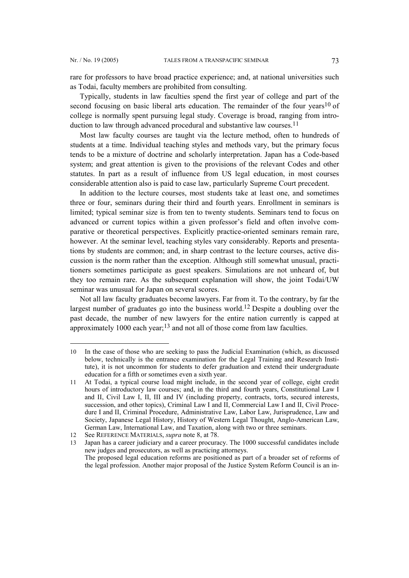l

<span id="page-4-3"></span>rare for professors to have broad practice experience; and, at national universities such as Todai, faculty members are prohibited from consulting.

Typically, students in law faculties spend the first year of college and part of the second focusing on basic liberal arts education. The remainder of the four years<sup>10</sup> of college is normally spent pursuing legal study. Coverage is broad, ranging from introduction to law through advanced procedural and substantive law courses.<sup>11</sup>

Most law faculty courses are taught via the lecture method, often to hundreds of students at a time. Individual teaching styles and methods vary, but the primary focus tends to be a mixture of doctrine and scholarly interpretation. Japan has a Code-based system; and great attention is given to the provisions of the relevant Codes and other statutes. In part as a result of influence from US legal education, in most courses considerable attention also is paid to case law, particularly Supreme Court precedent.

In addition to the lecture courses, most students take at least one, and sometimes three or four, seminars during their third and fourth years. Enrollment in seminars is limited; typical seminar size is from ten to twenty students. Seminars tend to focus on advanced or current topics within a given professor's field and often involve comparative or theoretical perspectives. Explicitly practice-oriented seminars remain rare, however. At the seminar level, teaching styles vary considerably. Reports and presentations by students are common; and, in sharp contrast to the lecture courses, active discussion is the norm rather than the exception. Although still somewhat unusual, practitioners sometimes participate as guest speakers. Simulations are not unheard of, but they too remain rare. As the subsequent explanation will show, the joint Todai/UW seminar was unusual for Japan on several scores.

Not all law faculty graduates become lawyers. Far from it. To the contrary, by far the largest number of graduates go into the business world.[12](#page-4-2) Despite a doubling over the past decade, the number of new lawyers for the entire nation currently is capped at approximately 1000 each year;[13](#page-4-3) and not all of those come from law faculties.

<span id="page-4-0"></span><sup>10</sup> In the case of those who are seeking to pass the Judicial Examination (which, as discussed below, technically is the entrance examination for the Legal Training and Research Institute), it is not uncommon for students to defer graduation and extend their undergraduate education for a fifth or sometimes even a sixth year.

<span id="page-4-1"></span><sup>11</sup> At Todai, a typical course load might include, in the second year of college, eight credit hours of introductory law courses; and, in the third and fourth years, Constitutional Law I and II, Civil Law I, II, III and IV (including property, contracts, torts, secured interests, succession, and other topics), Criminal Law I and II, Commercial Law I and II, Civil Procedure I and II, Criminal Procedure, Administrative Law, Labor Law, Jurisprudence, Law and Society, Japanese Legal History, History of Western Legal Thought, Anglo-American Law, German Law, International Law, and Taxation, along with two or three seminars.

<span id="page-4-2"></span><sup>12</sup> See REFERENCE MATERIALS, *supra* note 8, at 78.<br>13 Japan has a career indiciary and a career procura

<sup>13</sup> Japan has a career judiciary and a career procuracy. The 1000 successful candidates include new judges and prosecutors, as well as practicing attorneys. The proposed legal education reforms are positioned as part of a broader set of reforms of the legal profession. Another major proposal of the Justice System Reform Council is an in-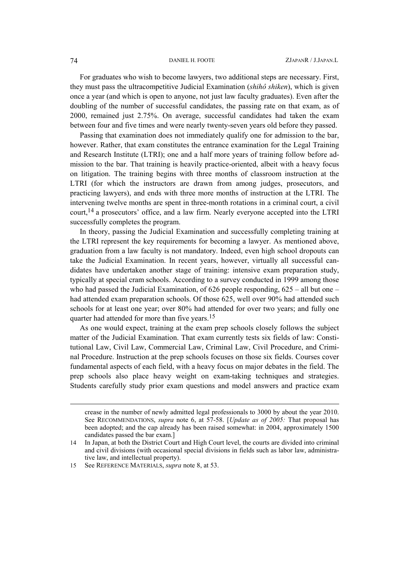For graduates who wish to become lawyers, two additional steps are necessary. First, they must pass the ultracompetitive Judicial Examination (*shihô shiken*), which is given once a year (and which is open to anyone, not just law faculty graduates). Even after the doubling of the number of successful candidates, the passing rate on that exam, as of 2000, remained just 2.75%. On average, successful candidates had taken the exam between four and five times and were nearly twenty-seven years old before they passed.

Passing that examination does not immediately qualify one for admission to the bar, however. Rather, that exam constitutes the entrance examination for the Legal Training and Research Institute (LTRI); one and a half more years of training follow before admission to the bar. That training is heavily practice-oriented, albeit with a heavy focus on litigation. The training begins with three months of classroom instruction at the LTRI (for which the instructors are drawn from among judges, prosecutors, and practicing lawyers), and ends with three more months of instruction at the LTRI. The intervening twelve months are spent in three-month rotations in a criminal court, a civil court,[14](#page-5-0) a prosecutors' office, and a law firm. Nearly everyone accepted into the LTRI successfully completes the program.

In theory, passing the Judicial Examination and successfully completing training at the LTRI represent the key requirements for becoming a lawyer. As mentioned above, graduation from a law faculty is not mandatory. Indeed, even high school dropouts can take the Judicial Examination. In recent years, however, virtually all successful candidates have undertaken another stage of training: intensive exam preparation study, typically at special cram schools. According to a survey conducted in 1999 among those who had passed the Judicial Examination, of 626 people responding,  $625 -$  all but one – had attended exam preparation schools. Of those 625, well over 90% had attended such schools for at least one year; over 80% had attended for over two years; and fully one quarter had attended for more than five years.[15](#page-5-1) 

As one would expect, training at the exam prep schools closely follows the subject matter of the Judicial Examination. That exam currently tests six fields of law: Constitutional Law, Civil Law, Commercial Law, Criminal Law, Civil Procedure, and Criminal Procedure. Instruction at the prep schools focuses on those six fields. Courses cover fundamental aspects of each field, with a heavy focus on major debates in the field. The prep schools also place heavy weight on exam-taking techniques and strategies. Students carefully study prior exam questions and model answers and practice exam

 $\overline{\phantom{a}}$ 

crease in the number of newly admitted legal professionals to 3000 by about the year 2010. See RECOMMENDATIONS, *supra* note 6, at 57-58. [*Update as of 2005:* That proposal has been adopted; and the cap already has been raised somewhat: in 2004, approximately 1500 candidates passed the bar exam.]

<span id="page-5-0"></span><sup>14</sup> In Japan, at both the District Court and High Court level, the courts are divided into criminal and civil divisions (with occasional special divisions in fields such as labor law, administrative law, and intellectual property).

<span id="page-5-1"></span><sup>15</sup> See REFERENCE MATERIALS, *supra* note 8, at 53.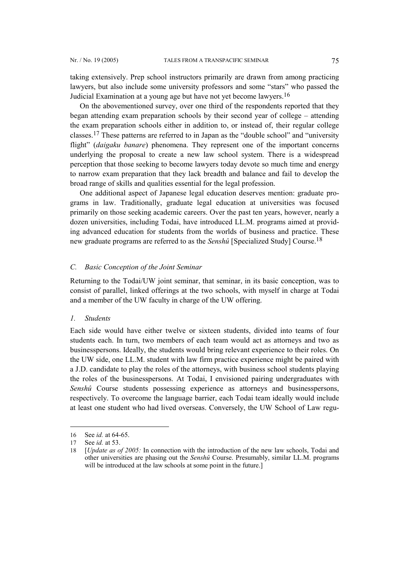taking extensively. Prep school instructors primarily are drawn from among practicing lawyers, but also include some university professors and some "stars" who passed the Judicial Examination at a young age but have not yet become lawyers.[16](#page-6-0) 

On the abovementioned survey, over one third of the respondents reported that they began attending exam preparation schools by their second year of college – attending the exam preparation schools either in addition to, or instead of, their regular college classes.[17](#page-6-1) These patterns are referred to in Japan as the "double school" and "university flight" (*daigaku banare*) phenomena. They represent one of the important concerns underlying the proposal to create a new law school system. There is a widespread perception that those seeking to become lawyers today devote so much time and energy to narrow exam preparation that they lack breadth and balance and fail to develop the broad range of skills and qualities essential for the legal profession.

One additional aspect of Japanese legal education deserves mention: graduate programs in law. Traditionally, graduate legal education at universities was focused primarily on those seeking academic careers. Over the past ten years, however, nearly a dozen universities, including Todai, have introduced LL.M. programs aimed at providing advanced education for students from the worlds of business and practice. These new graduate programs are referred to as the *Senshû* [Specialized Study] Course.[18](#page-6-2)

## *C. Basic Conception of the Joint Seminar*

Returning to the Todai/UW joint seminar, that seminar, in its basic conception, was to consist of parallel, linked offerings at the two schools, with myself in charge at Todai and a member of the UW faculty in charge of the UW offering.

#### *1. Students*

Each side would have either twelve or sixteen students, divided into teams of four students each. In turn, two members of each team would act as attorneys and two as businesspersons. Ideally, the students would bring relevant experience to their roles. On the UW side, one LL.M. student with law firm practice experience might be paired with a J.D. candidate to play the roles of the attorneys, with business school students playing the roles of the businesspersons. At Todai, I envisioned pairing undergraduates with *Senshû* Course students possessing experience as attorneys and businesspersons, respectively. To overcome the language barrier, each Todai team ideally would include at least one student who had lived overseas. Conversely, the UW School of Law regu-

l

<span id="page-6-0"></span><sup>16</sup> See *id.* at 64-65.

<span id="page-6-1"></span><sup>17</sup> See *id.* at 53.

<span id="page-6-2"></span><sup>18 [</sup>*Update as of 2005:* In connection with the introduction of the new law schools, Todai and other universities are phasing out the *Senshû* Course. Presumably, similar LL.M. programs will be introduced at the law schools at some point in the future.]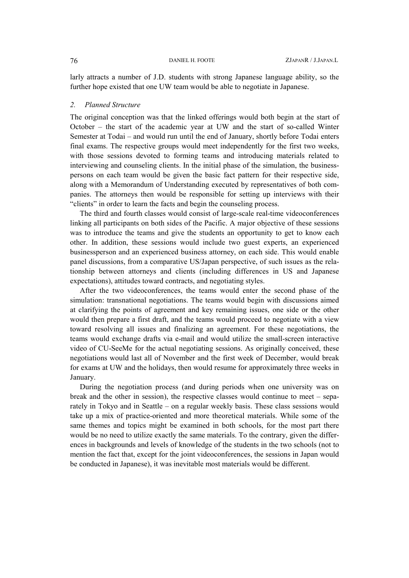larly attracts a number of J.D. students with strong Japanese language ability, so the further hope existed that one UW team would be able to negotiate in Japanese.

### *2. Planned Structure*

The original conception was that the linked offerings would both begin at the start of October – the start of the academic year at UW and the start of so-called Winter Semester at Todai – and would run until the end of January, shortly before Todai enters final exams. The respective groups would meet independently for the first two weeks, with those sessions devoted to forming teams and introducing materials related to interviewing and counseling clients. In the initial phase of the simulation, the businesspersons on each team would be given the basic fact pattern for their respective side, along with a Memorandum of Understanding executed by representatives of both companies. The attorneys then would be responsible for setting up interviews with their "clients" in order to learn the facts and begin the counseling process.

The third and fourth classes would consist of large-scale real-time videoconferences linking all participants on both sides of the Pacific. A major objective of these sessions was to introduce the teams and give the students an opportunity to get to know each other. In addition, these sessions would include two guest experts, an experienced businessperson and an experienced business attorney, on each side. This would enable panel discussions, from a comparative US/Japan perspective, of such issues as the relationship between attorneys and clients (including differences in US and Japanese expectations), attitudes toward contracts, and negotiating styles.

After the two videoconferences, the teams would enter the second phase of the simulation: transnational negotiations. The teams would begin with discussions aimed at clarifying the points of agreement and key remaining issues, one side or the other would then prepare a first draft, and the teams would proceed to negotiate with a view toward resolving all issues and finalizing an agreement. For these negotiations, the teams would exchange drafts via e-mail and would utilize the small-screen interactive video of CU-SeeMe for the actual negotiating sessions. As originally conceived, these negotiations would last all of November and the first week of December, would break for exams at UW and the holidays, then would resume for approximately three weeks in January.

During the negotiation process (and during periods when one university was on break and the other in session), the respective classes would continue to meet – separately in Tokyo and in Seattle – on a regular weekly basis. These class sessions would take up a mix of practice-oriented and more theoretical materials. While some of the same themes and topics might be examined in both schools, for the most part there would be no need to utilize exactly the same materials. To the contrary, given the differences in backgrounds and levels of knowledge of the students in the two schools (not to mention the fact that, except for the joint videoconferences, the sessions in Japan would be conducted in Japanese), it was inevitable most materials would be different.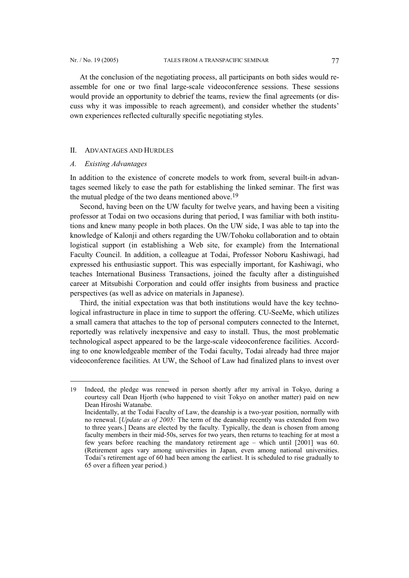At the conclusion of the negotiating process, all participants on both sides would reassemble for one or two final large-scale videoconference sessions. These sessions would provide an opportunity to debrief the teams, review the final agreements (or discuss why it was impossible to reach agreement), and consider whether the students' own experiences reflected culturally specific negotiating styles.

#### II. ADVANTAGES AND HURDLES

#### *A. Existing Advantages*

l

In addition to the existence of concrete models to work from, several built-in advantages seemed likely to ease the path for establishing the linked seminar. The first was the mutual pledge of the two deans mentioned above.[19](#page-8-0) 

Second, having been on the UW faculty for twelve years, and having been a visiting professor at Todai on two occasions during that period, I was familiar with both institutions and knew many people in both places. On the UW side, I was able to tap into the knowledge of Kalonji and others regarding the UW/Tohoku collaboration and to obtain logistical support (in establishing a Web site, for example) from the International Faculty Council. In addition, a colleague at Todai, Professor Noboru Kashiwagi, had expressed his enthusiastic support. This was especially important, for Kashiwagi, who teaches International Business Transactions, joined the faculty after a distinguished career at Mitsubishi Corporation and could offer insights from business and practice perspectives (as well as advice on materials in Japanese).

Third, the initial expectation was that both institutions would have the key technological infrastructure in place in time to support the offering. CU-SeeMe, which utilizes a small camera that attaches to the top of personal computers connected to the Internet, reportedly was relatively inexpensive and easy to install. Thus, the most problematic technological aspect appeared to be the large-scale videoconference facilities. According to one knowledgeable member of the Todai faculty, Todai already had three major videoconference facilities. At UW, the School of Law had finalized plans to invest over

<span id="page-8-0"></span><sup>19</sup> Indeed, the pledge was renewed in person shortly after my arrival in Tokyo, during a courtesy call Dean Hjorth (who happened to visit Tokyo on another matter) paid on new Dean Hiroshi Watanabe. Incidentally, at the Todai Faculty of Law, the deanship is a two-year position, normally with no renewal. [*Update as of 2005:* The term of the deanship recently was extended from two

to three years.] Deans are elected by the faculty. Typically, the dean is chosen from among faculty members in their mid-50s, serves for two years, then returns to teaching for at most a few years before reaching the mandatory retirement age – which until [2001] was 60. (Retirement ages vary among universities in Japan, even among national universities. Todai's retirement age of 60 had been among the earliest. It is scheduled to rise gradually to 65 over a fifteen year period.)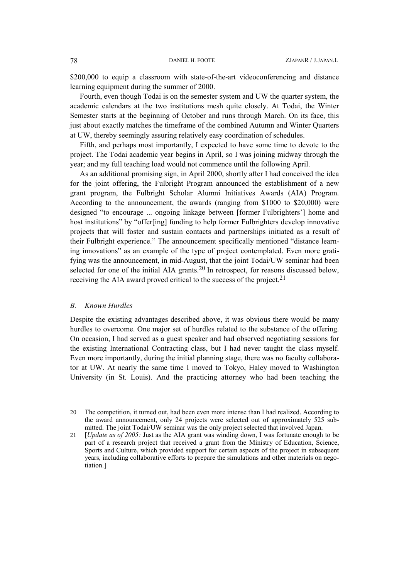\$200,000 to equip a classroom with state-of-the-art videoconferencing and distance learning equipment during the summer of 2000.

Fourth, even though Todai is on the semester system and UW the quarter system, the academic calendars at the two institutions mesh quite closely. At Todai, the Winter Semester starts at the beginning of October and runs through March. On its face, this just about exactly matches the timeframe of the combined Autumn and Winter Quarters at UW, thereby seemingly assuring relatively easy coordination of schedules.

Fifth, and perhaps most importantly, I expected to have some time to devote to the project. The Todai academic year begins in April, so I was joining midway through the year; and my full teaching load would not commence until the following April.

As an additional promising sign, in April 2000, shortly after I had conceived the idea for the joint offering, the Fulbright Program announced the establishment of a new grant program, the Fulbright Scholar Alumni Initiatives Awards (AIA) Program. According to the announcement, the awards (ranging from \$1000 to \$20,000) were designed "to encourage ... ongoing linkage between [former Fulbrighters'] home and host institutions" by "offer[ing] funding to help former Fulbrighters develop innovative projects that will foster and sustain contacts and partnerships initiated as a result of their Fulbright experience." The announcement specifically mentioned "distance learning innovations" as an example of the type of project contemplated. Even more gratifying was the announcement, in mid-August, that the joint Todai/UW seminar had been selected for one of the initial AIA grants[.20](#page-9-0) In retrospect, for reasons discussed below, receiving the AIA award proved critical to the success of the project.[21](#page-9-1)

#### *B. Known Hurdles*

 $\overline{\phantom{a}}$ 

Despite the existing advantages described above, it was obvious there would be many hurdles to overcome. One major set of hurdles related to the substance of the offering. On occasion, I had served as a guest speaker and had observed negotiating sessions for the existing International Contracting class, but I had never taught the class myself. Even more importantly, during the initial planning stage, there was no faculty collaborator at UW. At nearly the same time I moved to Tokyo, Haley moved to Washington University (in St. Louis). And the practicing attorney who had been teaching the

<span id="page-9-0"></span><sup>20</sup> The competition, it turned out, had been even more intense than I had realized. According to the award announcement, only 24 projects were selected out of approximately 525 submitted. The joint Todai/UW seminar was the only project selected that involved Japan.

<span id="page-9-1"></span><sup>21 [</sup>*Update as of 2005:* Just as the AIA grant was winding down, I was fortunate enough to be part of a research project that received a grant from the Ministry of Education, Science, Sports and Culture, which provided support for certain aspects of the project in subsequent years, including collaborative efforts to prepare the simulations and other materials on negotiation.]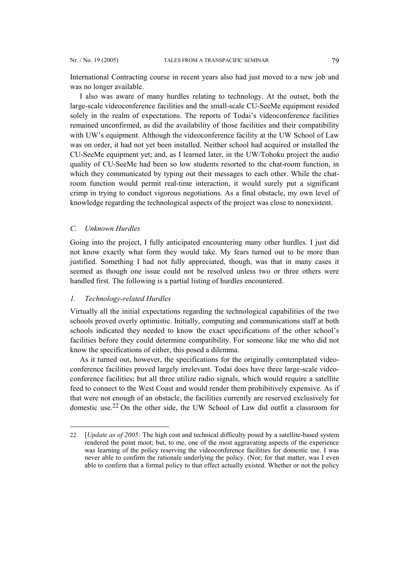<span id="page-10-0"></span>International Contracting course in recent years also had just moved to a new job and was no longer available.

I also was aware of many hurdles relating to technology. At the outset, both the large-scale videoconference facilities and the small-scale CU-SeeMe equipment resided solely in the realm of expectations. The reports of Todai's videoconference facilities remained unconfirmed, as did the availability of those facilities and their compatibility with UW's equipment. Although the videoconference facility at the UW School of Law was on order, it had not yet been installed. Neither school had acquired or installed the CU-SeeMe equipment yet; and, as I learned later, in the UW/Tohoku project the audio quality of CU-SeeMe had been so low students resorted to the chat-room function, in which they communicated by typing out their messages to each other. While the chatroom function would permit real-time interaction, it would surely put a significant crimp in trying to conduct vigorous negotiations. As a final obstacle, my own level of knowledge regarding the technological aspects of the project was close to nonexistent.

#### *C. Unknown Hurdles*

l

Going into the project, I fully anticipated encountering many other hurdles. I just did not know exactly what form they would take. My fears turned out to be more than justified. Something I had not fully appreciated, though, was that in many cases it seemed as though one issue could not be resolved unless two or three others were handled first. The following is a partial listing of hurdles encountered.

#### *1. Technology-related Hurdles*

Virtually all the initial expectations regarding the technological capabilities of the two schools proved overly optimistic. Initially, computing and communications staff at both schools indicated they needed to know the exact specifications of the other school's facilities before they could determine compatibility. For someone like me who did not know the specifications of either, this posed a dilemma.

As it turned out, however, the specifications for the originally contemplated videoconference facilities proved largely irrelevant. Todai does have three large-scale videoconference facilities; but all three utilize radio signals, which would require a satellite feed to connect to the West Coast and would render them prohibitively expensive. As if that were not enough of an obstacle, the facilities currently are reserved exclusively for domestic use.[22](#page-10-0) On the other side, the UW School of Law did outfit a classroom for

<sup>22 [</sup>*Update as of 2005:* The high cost and technical difficulty posed by a satellite-based system rendered the point moot; but, to me, one of the most aggravating aspects of the experience was learning of the policy reserving the videoconference facilities for domestic use. I was never able to confirm the rationale underlying the policy. (Nor, for that matter, was I even able to confirm that a formal policy to that effect actually existed. Whether or not the policy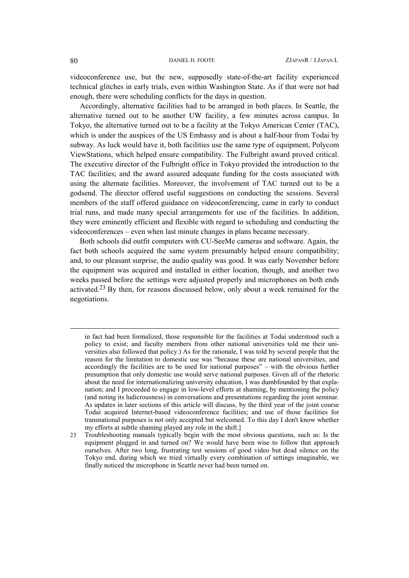videoconference use, but the new, supposedly state-of-the-art facility experienced technical glitches in early trials, even within Washington State. As if that were not bad enough, there were scheduling conflicts for the days in question.

Accordingly, alternative facilities had to be arranged in both places. In Seattle, the alternative turned out to be another UW facility, a few minutes across campus. In Tokyo, the alternative turned out to be a facility at the Tokyo American Center (TAC), which is under the auspices of the US Embassy and is about a half-hour from Todai by subway. As luck would have it, both facilities use the same type of equipment, Polycom ViewStations, which helped ensure compatibility. The Fulbright award proved critical. The executive director of the Fulbright office in Tokyo provided the introduction to the TAC facilities; and the award assured adequate funding for the costs associated with using the alternate facilities. Moreover, the involvement of TAC turned out to be a godsend. The director offered useful suggestions on conducting the sessions. Several members of the staff offered guidance on videoconferencing, came in early to conduct trial runs, and made many special arrangements for use of the facilities. In addition, they were eminently efficient and flexible with regard to scheduling and conducting the videoconferences – even when last minute changes in plans became necessary.

Both schools did outfit computers with CU-SeeMe cameras and software. Again, the fact both schools acquired the same system presumably helped ensure compatibility; and, to our pleasant surprise, the audio quality was good. It was early November before the equipment was acquired and installed in either location, though, and another two weeks passed before the settings were adjusted properly and microphones on both ends activated.[23](#page-11-0) By then, for reasons discussed below, only about a week remained for the negotiations.

l

in fact had been formalized, those responsible for the facilities at Todai understood such a policy to exist; and faculty members from other national universities told me their universities also followed that policy.) As for the rationale, I was told by several people that the reason for the limitation to domestic use was "because these are national universities, and accordingly the facilities are to be used for national purposes" – with the obvious further presumption that only domestic use would serve national purposes. Given all of the rhetoric about the need for internationalizing university education, I was dumbfounded by that explanation; and I proceeded to engage in low-level efforts at shaming, by mentioning the policy (and noting its ludicrousness) in conversations and presentations regarding the joint seminar. As updates in later sections of this article will discuss, by the third year of the joint course Todai acquired Internet-based videoconference facilities; and use of those facilities for transnational purposes is not only accepted but welcomed. To this day I don't know whether my efforts at subtle shaming played any role in the shift.]

<span id="page-11-0"></span><sup>23</sup> Troubleshooting manuals typically begin with the most obvious questions, such as: Is the equipment plugged in and turned on? We would have been wise to follow that approach ourselves. After two long, frustrating test sessions of good video but dead silence on the Tokyo end, during which we tried virtually every combination of settings imaginable, we finally noticed the microphone in Seattle never had been turned on.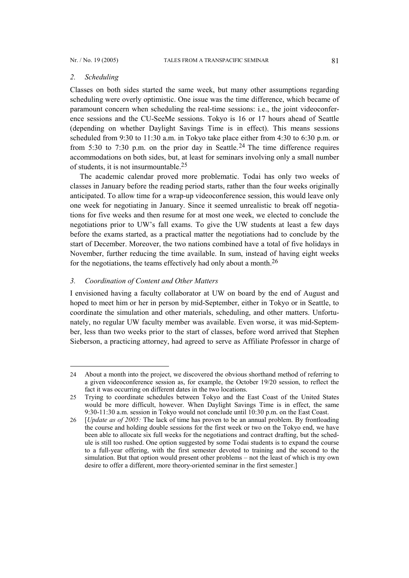#### *2. Scheduling*

l

Classes on both sides started the same week, but many other assumptions regarding scheduling were overly optimistic. One issue was the time difference, which became of paramount concern when scheduling the real-time sessions: i.e., the joint videoconference sessions and the CU-SeeMe sessions. Tokyo is 16 or 17 hours ahead of Seattle (depending on whether Daylight Savings Time is in effect). This means sessions scheduled from 9:30 to 11:30 a.m. in Tokyo take place either from 4:30 to 6:30 p.m. or from 5:30 to 7:30 p.m. on the prior day in Seattle.<sup>[24](#page-12-0)</sup> The time difference requires accommodations on both sides, but, at least for seminars involving only a small number of students, it is not insurmountable.[25](#page-12-1)

The academic calendar proved more problematic. Todai has only two weeks of classes in January before the reading period starts, rather than the four weeks originally anticipated. To allow time for a wrap-up videoconference session, this would leave only one week for negotiating in January. Since it seemed unrealistic to break off negotiations for five weeks and then resume for at most one week, we elected to conclude the negotiations prior to UW's fall exams. To give the UW students at least a few days before the exams started, as a practical matter the negotiations had to conclude by the start of December. Moreover, the two nations combined have a total of five holidays in November, further reducing the time available. In sum, instead of having eight weeks for the negotiations, the teams effectively had only about a month.[26](#page-12-2)

# *3. Coordination of Content and Other Matters*

I envisioned having a faculty collaborator at UW on board by the end of August and hoped to meet him or her in person by mid-September, either in Tokyo or in Seattle, to coordinate the simulation and other materials, scheduling, and other matters. Unfortunately, no regular UW faculty member was available. Even worse, it was mid-September, less than two weeks prior to the start of classes, before word arrived that Stephen Sieberson, a practicing attorney, had agreed to serve as Affiliate Professor in charge of

<span id="page-12-0"></span><sup>24</sup> About a month into the project, we discovered the obvious shorthand method of referring to a given videoconference session as, for example, the October 19/20 session, to reflect the fact it was occurring on different dates in the two locations.

<span id="page-12-1"></span><sup>25</sup> Trying to coordinate schedules between Tokyo and the East Coast of the United States would be more difficult, however. When Daylight Savings Time is in effect, the same 9:30-11:30 a.m. session in Tokyo would not conclude until 10:30 p.m. on the East Coast.

<span id="page-12-2"></span><sup>26 [</sup>*Update as of 2005:* The lack of time has proven to be an annual problem. By frontloading the course and holding double sessions for the first week or two on the Tokyo end, we have been able to allocate six full weeks for the negotiations and contract drafting, but the schedule is still too rushed. One option suggested by some Todai students is to expand the course to a full-year offering, with the first semester devoted to training and the second to the simulation. But that option would present other problems – not the least of which is my own desire to offer a different, more theory-oriented seminar in the first semester.]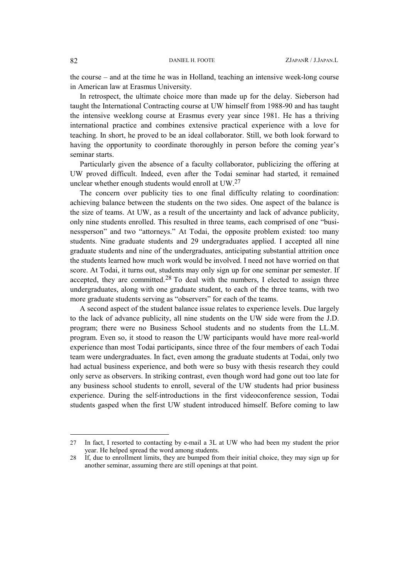the course – and at the time he was in Holland, teaching an intensive week-long course in American law at Erasmus University.

In retrospect, the ultimate choice more than made up for the delay. Sieberson had taught the International Contracting course at UW himself from 1988-90 and has taught the intensive weeklong course at Erasmus every year since 1981. He has a thriving international practice and combines extensive practical experience with a love for teaching. In short, he proved to be an ideal collaborator. Still, we both look forward to having the opportunity to coordinate thoroughly in person before the coming year's seminar starts.

Particularly given the absence of a faculty collaborator, publicizing the offering at UW proved difficult. Indeed, even after the Todai seminar had started, it remained unclear whether enough students would enroll at UW[.27](#page-13-0)

The concern over publicity ties to one final difficulty relating to coordination: achieving balance between the students on the two sides. One aspect of the balance is the size of teams. At UW, as a result of the uncertainty and lack of advance publicity, only nine students enrolled. This resulted in three teams, each comprised of one "businessperson" and two "attorneys." At Todai, the opposite problem existed: too many students. Nine graduate students and 29 undergraduates applied. I accepted all nine graduate students and nine of the undergraduates, anticipating substantial attrition once the students learned how much work would be involved. I need not have worried on that score. At Todai, it turns out, students may only sign up for one seminar per semester. If accepted, they are committed.[28](#page-13-1) To deal with the numbers, I elected to assign three undergraduates, along with one graduate student, to each of the three teams, with two more graduate students serving as "observers" for each of the teams.

A second aspect of the student balance issue relates to experience levels. Due largely to the lack of advance publicity, all nine students on the UW side were from the J.D. program; there were no Business School students and no students from the LL.M. program. Even so, it stood to reason the UW participants would have more real-world experience than most Todai participants, since three of the four members of each Todai team were undergraduates. In fact, even among the graduate students at Todai, only two had actual business experience, and both were so busy with thesis research they could only serve as observers. In striking contrast, even though word had gone out too late for any business school students to enroll, several of the UW students had prior business experience. During the self-introductions in the first videoconference session, Todai students gasped when the first UW student introduced himself. Before coming to law

l

<span id="page-13-0"></span><sup>27</sup> In fact, I resorted to contacting by e-mail a 3L at UW who had been my student the prior year. He helped spread the word among students.

<span id="page-13-1"></span><sup>28</sup> If, due to enrollment limits, they are bumped from their initial choice, they may sign up for another seminar, assuming there are still openings at that point.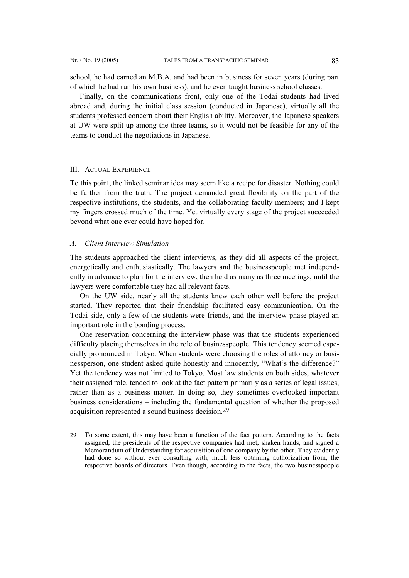<span id="page-14-0"></span>school, he had earned an M.B.A. and had been in business for seven years (during part of which he had run his own business), and he even taught business school classes.

Finally, on the communications front, only one of the Todai students had lived abroad and, during the initial class session (conducted in Japanese), virtually all the students professed concern about their English ability. Moreover, the Japanese speakers at UW were split up among the three teams, so it would not be feasible for any of the teams to conduct the negotiations in Japanese.

#### III. ACTUAL EXPERIENCE

To this point, the linked seminar idea may seem like a recipe for disaster. Nothing could be further from the truth. The project demanded great flexibility on the part of the respective institutions, the students, and the collaborating faculty members; and I kept my fingers crossed much of the time. Yet virtually every stage of the project succeeded beyond what one ever could have hoped for.

# *A. Client Interview Simulation*

l

The students approached the client interviews, as they did all aspects of the project, energetically and enthusiastically. The lawyers and the businesspeople met independently in advance to plan for the interview, then held as many as three meetings, until the lawyers were comfortable they had all relevant facts.

On the UW side, nearly all the students knew each other well before the project started. They reported that their friendship facilitated easy communication. On the Todai side, only a few of the students were friends, and the interview phase played an important role in the bonding process.

One reservation concerning the interview phase was that the students experienced difficulty placing themselves in the role of businesspeople. This tendency seemed especially pronounced in Tokyo. When students were choosing the roles of attorney or businessperson, one student asked quite honestly and innocently, "What's the difference?" Yet the tendency was not limited to Tokyo. Most law students on both sides, whatever their assigned role, tended to look at the fact pattern primarily as a series of legal issues, rather than as a business matter. In doing so, they sometimes overlooked important business considerations – including the fundamental question of whether the proposed acquisition represented a sound business decision.[29](#page-14-0)

<sup>29</sup> To some extent, this may have been a function of the fact pattern. According to the facts assigned, the presidents of the respective companies had met, shaken hands, and signed a Memorandum of Understanding for acquisition of one company by the other. They evidently had done so without ever consulting with, much less obtaining authorization from, the respective boards of directors. Even though, according to the facts, the two businesspeople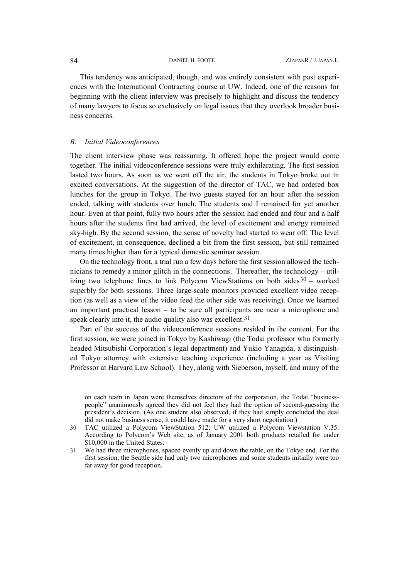This tendency was anticipated, though, and was entirely consistent with past experiences with the International Contracting course at UW. Indeed, one of the reasons for beginning with the client interview was precisely to highlight and discuss the tendency of many lawyers to focus so exclusively on legal issues that they overlook broader business concerns.

#### *B. Initial Videoconferences*

The client interview phase was reassuring. It offered hope the project would come together. The initial videoconference sessions were truly exhilarating. The first session lasted two hours. As soon as we went off the air, the students in Tokyo broke out in excited conversations. At the suggestion of the director of TAC, we had ordered box lunches for the group in Tokyo. The two guests stayed for an hour after the session ended, talking with students over lunch. The students and I remained for yet another hour. Even at that point, fully two hours after the session had ended and four and a half hours after the students first had arrived, the level of excitement and energy remained sky-high. By the second session, the sense of novelty had started to wear off. The level of excitement, in consequence, declined a bit from the first session, but still remained many times higher than for a typical domestic seminar session.

On the technology front, a trial run a few days before the first session allowed the technicians to remedy a minor glitch in the connections. Thereafter, the technology – utilizing two telephone lines to link Polycom ViewStations on both sides $30 30 -$  worked superbly for both sessions. Three large-scale monitors provided excellent video reception (as well as a view of the video feed the other side was receiving). Once we learned an important practical lesson – to be sure all participants are near a microphone and speak clearly into it, the audio quality also was excellent.<sup>31</sup>

Part of the success of the videoconference sessions resided in the content. For the first session, we were joined in Tokyo by Kashiwagi (the Todai professor who formerly headed Mitsubishi Corporation's legal department) and Yukio Yanagida, a distinguished Tokyo attorney with extensive teaching experience (including a year as Visiting Professor at Harvard Law School). They, along with Sieberson, myself, and many of the

 $\overline{\phantom{a}}$ 

on each team in Japan were themselves directors of the corporation, the Todai "businesspeople" unanimously agreed they did not feel they had the option of second-guessing the president's decision. (As one student also observed, if they had simply concluded the deal did not make business sense, it could have made for a very short negotiation.)

<span id="page-15-0"></span><sup>30</sup> TAC utilized a Polycom ViewStation 512; UW utilized a Polycom Viewstation V.35. According to Polycom's Web site, as of January 2001 both products retailed for under \$10,000 in the United States.

<span id="page-15-1"></span><sup>31</sup> We had three microphones, spaced evenly up and down the table, on the Tokyo end. For the first session, the Seattle side had only two microphones and some students initially were too far away for good reception.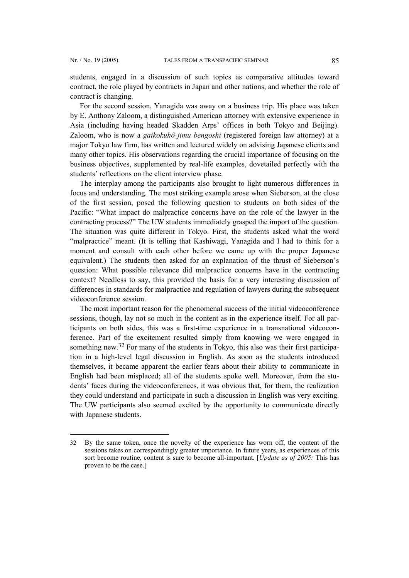l

students, engaged in a discussion of such topics as comparative attitudes toward contract, the role played by contracts in Japan and other nations, and whether the role of contract is changing.

For the second session, Yanagida was away on a business trip. His place was taken by E. Anthony Zaloom, a distinguished American attorney with extensive experience in Asia (including having headed Skadden Arps' offices in both Tokyo and Beijing). Zaloom, who is now a *gaikokuhô jimu bengoshi* (registered foreign law attorney) at a major Tokyo law firm, has written and lectured widely on advising Japanese clients and many other topics. His observations regarding the crucial importance of focusing on the business objectives, supplemented by real-life examples, dovetailed perfectly with the students' reflections on the client interview phase.

The interplay among the participants also brought to light numerous differences in focus and understanding. The most striking example arose when Sieberson, at the close of the first session, posed the following question to students on both sides of the Pacific: "What impact do malpractice concerns have on the role of the lawyer in the contracting process?" The UW students immediately grasped the import of the question. The situation was quite different in Tokyo. First, the students asked what the word "malpractice" meant. (It is telling that Kashiwagi, Yanagida and I had to think for a moment and consult with each other before we came up with the proper Japanese equivalent.) The students then asked for an explanation of the thrust of Sieberson's question: What possible relevance did malpractice concerns have in the contracting context? Needless to say, this provided the basis for a very interesting discussion of differences in standards for malpractice and regulation of lawyers during the subsequent videoconference session.

The most important reason for the phenomenal success of the initial videoconference sessions, though, lay not so much in the content as in the experience itself. For all participants on both sides, this was a first-time experience in a transnational videoconference. Part of the excitement resulted simply from knowing we were engaged in something new.<sup>[32](#page-16-0)</sup> For many of the students in Tokyo, this also was their first participation in a high-level legal discussion in English. As soon as the students introduced themselves, it became apparent the earlier fears about their ability to communicate in English had been misplaced; all of the students spoke well. Moreover, from the students' faces during the videoconferences, it was obvious that, for them, the realization they could understand and participate in such a discussion in English was very exciting. The UW participants also seemed excited by the opportunity to communicate directly with Japanese students.

<span id="page-16-0"></span><sup>32</sup> By the same token, once the novelty of the experience has worn off, the content of the sessions takes on correspondingly greater importance. In future years, as experiences of this sort become routine, content is sure to become all-important. [*Update as of 2005:* This has proven to be the case.]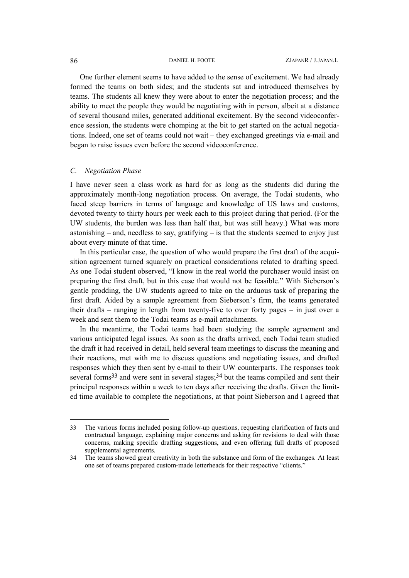One further element seems to have added to the sense of excitement. We had already formed the teams on both sides; and the students sat and introduced themselves by teams. The students all knew they were about to enter the negotiation process; and the ability to meet the people they would be negotiating with in person, albeit at a distance of several thousand miles, generated additional excitement. By the second videoconference session, the students were chomping at the bit to get started on the actual negotiations. Indeed, one set of teams could not wait – they exchanged greetings via e-mail and began to raise issues even before the second videoconference.

### *C. Negotiation Phase*

I have never seen a class work as hard for as long as the students did during the approximately month-long negotiation process. On average, the Todai students, who faced steep barriers in terms of language and knowledge of US laws and customs, devoted twenty to thirty hours per week each to this project during that period. (For the UW students, the burden was less than half that, but was still heavy.) What was more astonishing – and, needless to say, gratifying – is that the students seemed to enjoy just about every minute of that time.

In this particular case, the question of who would prepare the first draft of the acquisition agreement turned squarely on practical considerations related to drafting speed. As one Todai student observed, "I know in the real world the purchaser would insist on preparing the first draft, but in this case that would not be feasible." With Sieberson's gentle prodding, the UW students agreed to take on the arduous task of preparing the first draft. Aided by a sample agreement from Sieberson's firm, the teams generated their drafts – ranging in length from twenty-five to over forty pages – in just over a week and sent them to the Todai teams as e-mail attachments.

In the meantime, the Todai teams had been studying the sample agreement and various anticipated legal issues. As soon as the drafts arrived, each Todai team studied the draft it had received in detail, held several team meetings to discuss the meaning and their reactions, met with me to discuss questions and negotiating issues, and drafted responses which they then sent by e-mail to their UW counterparts. The responses took several forms<sup>33</sup> and were sent in several stages;<sup>[34](#page-17-1)</sup> but the teams compiled and sent their principal responses within a week to ten days after receiving the drafts. Given the limited time available to complete the negotiations, at that point Sieberson and I agreed that

 $\overline{a}$ 

<span id="page-17-0"></span><sup>33</sup> The various forms included posing follow-up questions, requesting clarification of facts and contractual language, explaining major concerns and asking for revisions to deal with those concerns, making specific drafting suggestions, and even offering full drafts of proposed supplemental agreements.

<span id="page-17-1"></span><sup>34</sup> The teams showed great creativity in both the substance and form of the exchanges. At least one set of teams prepared custom-made letterheads for their respective "clients."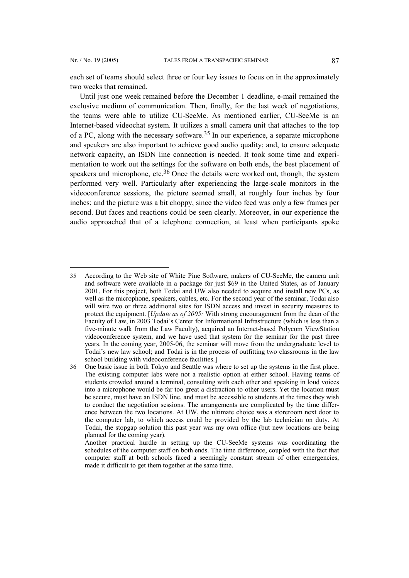$\overline{a}$ 

each set of teams should select three or four key issues to focus on in the approximately two weeks that remained.

Until just one week remained before the December 1 deadline, e-mail remained the exclusive medium of communication. Then, finally, for the last week of negotiations, the teams were able to utilize CU-SeeMe. As mentioned earlier, CU-SeeMe is an Internet-based videochat system. It utilizes a small camera unit that attaches to the top of a PC, along with the necessary software.[35](#page-18-0) In our experience, a separate microphone and speakers are also important to achieve good audio quality; and, to ensure adequate network capacity, an ISDN line connection is needed. It took some time and experimentation to work out the settings for the software on both ends, the best placement of speakers and microphone, etc. $36$  Once the details were worked out, though, the system performed very well. Particularly after experiencing the large-scale monitors in the videoconference sessions, the picture seemed small, at roughly four inches by four inches; and the picture was a bit choppy, since the video feed was only a few frames per second. But faces and reactions could be seen clearly. Moreover, in our experience the audio approached that of a telephone connection, at least when participants spoke

<span id="page-18-0"></span><sup>35</sup> According to the Web site of White Pine Software, makers of CU-SeeMe, the camera unit and software were available in a package for just \$69 in the United States, as of January 2001. For this project, both Todai and UW also needed to acquire and install new PCs, as well as the microphone, speakers, cables, etc. For the second year of the seminar, Todai also will wire two or three additional sites for ISDN access and invest in security measures to protect the equipment. [*Update as of 2005:* With strong encouragement from the dean of the Faculty of Law, in 2003 Todai's Center for Informational Infrastructure (which is less than a five-minute walk from the Law Faculty), acquired an Internet-based Polycom ViewStation videoconference system, and we have used that system for the seminar for the past three years. In the coming year, 2005-06, the seminar will move from the undergraduate level to Todai's new law school; and Todai is in the process of outfitting two classrooms in the law school building with videoconference facilities.]

<span id="page-18-1"></span><sup>36</sup> One basic issue in both Tokyo and Seattle was where to set up the systems in the first place. The existing computer labs were not a realistic option at either school. Having teams of students crowded around a terminal, consulting with each other and speaking in loud voices into a microphone would be far too great a distraction to other users. Yet the location must be secure, must have an ISDN line, and must be accessible to students at the times they wish to conduct the negotiation sessions. The arrangements are complicated by the time difference between the two locations. At UW, the ultimate choice was a storeroom next door to the computer lab, to which access could be provided by the lab technician on duty. At Todai, the stopgap solution this past year was my own office (but new locations are being planned for the coming year).

Another practical hurdle in setting up the CU-SeeMe systems was coordinating the schedules of the computer staff on both ends. The time difference, coupled with the fact that computer staff at both schools faced a seemingly constant stream of other emergencies, made it difficult to get them together at the same time.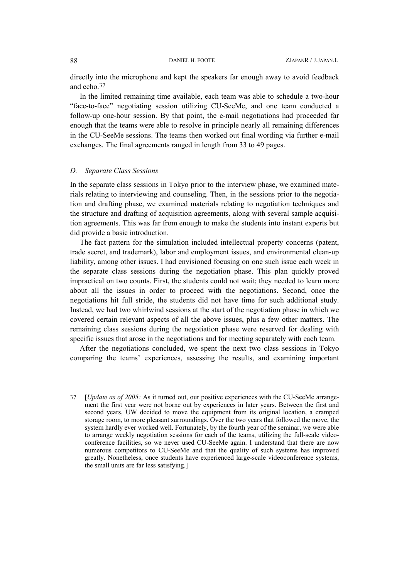directly into the microphone and kept the speakers far enough away to avoid feedback and echo.[37](#page-19-0)

In the limited remaining time available, each team was able to schedule a two-hour "face-to-face" negotiating session utilizing CU-SeeMe, and one team conducted a follow-up one-hour session. By that point, the e-mail negotiations had proceeded far enough that the teams were able to resolve in principle nearly all remaining differences in the CU-SeeMe sessions. The teams then worked out final wording via further e-mail exchanges. The final agreements ranged in length from 33 to 49 pages.

#### *D. Separate Class Sessions*

In the separate class sessions in Tokyo prior to the interview phase, we examined materials relating to interviewing and counseling. Then, in the sessions prior to the negotiation and drafting phase, we examined materials relating to negotiation techniques and the structure and drafting of acquisition agreements, along with several sample acquisition agreements. This was far from enough to make the students into instant experts but did provide a basic introduction.

The fact pattern for the simulation included intellectual property concerns (patent, trade secret, and trademark), labor and employment issues, and environmental clean-up liability, among other issues. I had envisioned focusing on one such issue each week in the separate class sessions during the negotiation phase. This plan quickly proved impractical on two counts. First, the students could not wait; they needed to learn more about all the issues in order to proceed with the negotiations. Second, once the negotiations hit full stride, the students did not have time for such additional study. Instead, we had two whirlwind sessions at the start of the negotiation phase in which we covered certain relevant aspects of all the above issues, plus a few other matters. The remaining class sessions during the negotiation phase were reserved for dealing with specific issues that arose in the negotiations and for meeting separately with each team.

After the negotiations concluded, we spent the next two class sessions in Tokyo comparing the teams' experiences, assessing the results, and examining important

 $\overline{\phantom{a}}$ 

<span id="page-19-0"></span><sup>37 [</sup>*Update as of 2005:* As it turned out, our positive experiences with the CU-SeeMe arrangement the first year were not borne out by experiences in later years. Between the first and second years, UW decided to move the equipment from its original location, a cramped storage room, to more pleasant surroundings. Over the two years that followed the move, the system hardly ever worked well. Fortunately, by the fourth year of the seminar, we were able to arrange weekly negotiation sessions for each of the teams, utilizing the full-scale videoconference facilities, so we never used CU-SeeMe again. I understand that there are now numerous competitors to CU-SeeMe and that the quality of such systems has improved greatly. Nonetheless, once students have experienced large-scale videoconference systems, the small units are far less satisfying.]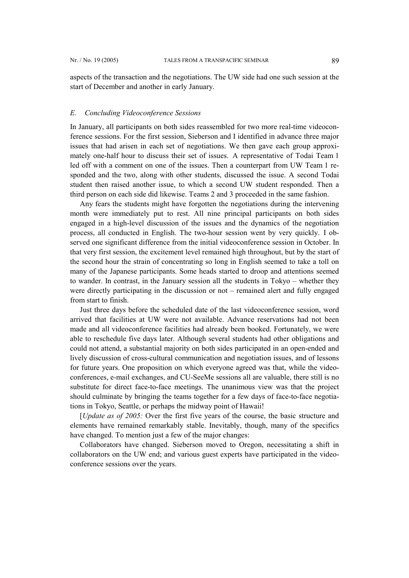aspects of the transaction and the negotiations. The UW side had one such session at the start of December and another in early January.

#### *E. Concluding Videoconference Sessions*

In January, all participants on both sides reassembled for two more real-time videoconference sessions. For the first session, Sieberson and I identified in advance three major issues that had arisen in each set of negotiations. We then gave each group approximately one-half hour to discuss their set of issues. A representative of Todai Team 1 led off with a comment on one of the issues. Then a counterpart from UW Team 1 responded and the two, along with other students, discussed the issue. A second Todai student then raised another issue, to which a second UW student responded. Then a third person on each side did likewise. Teams 2 and 3 proceeded in the same fashion.

Any fears the students might have forgotten the negotiations during the intervening month were immediately put to rest. All nine principal participants on both sides engaged in a high-level discussion of the issues and the dynamics of the negotiation process, all conducted in English. The two-hour session went by very quickly. I observed one significant difference from the initial videoconference session in October. In that very first session, the excitement level remained high throughout, but by the start of the second hour the strain of concentrating so long in English seemed to take a toll on many of the Japanese participants. Some heads started to droop and attentions seemed to wander. In contrast, in the January session all the students in Tokyo – whether they were directly participating in the discussion or not – remained alert and fully engaged from start to finish.

Just three days before the scheduled date of the last videoconference session, word arrived that facilities at UW were not available. Advance reservations had not been made and all videoconference facilities had already been booked. Fortunately, we were able to reschedule five days later. Although several students had other obligations and could not attend, a substantial majority on both sides participated in an open-ended and lively discussion of cross-cultural communication and negotiation issues, and of lessons for future years. One proposition on which everyone agreed was that, while the videoconferences, e-mail exchanges, and CU-SeeMe sessions all are valuable, there still is no substitute for direct face-to-face meetings. The unanimous view was that the project should culminate by bringing the teams together for a few days of face-to-face negotiations in Tokyo, Seattle, or perhaps the midway point of Hawaii!

[*Update as of 2005:* Over the first five years of the course, the basic structure and elements have remained remarkably stable. Inevitably, though, many of the specifics have changed. To mention just a few of the major changes:

Collaborators have changed. Sieberson moved to Oregon, necessitating a shift in collaborators on the UW end; and various guest experts have participated in the videoconference sessions over the years.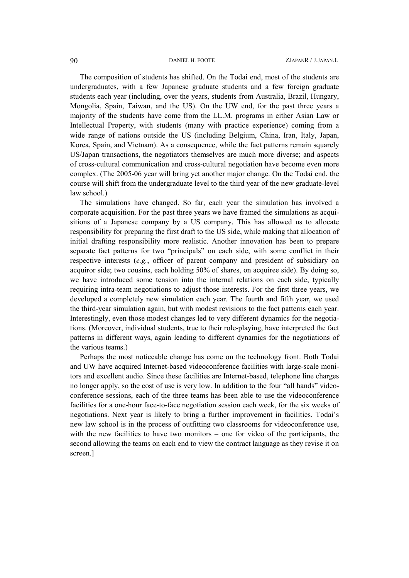The composition of students has shifted. On the Todai end, most of the students are undergraduates, with a few Japanese graduate students and a few foreign graduate students each year (including, over the years, students from Australia, Brazil, Hungary, Mongolia, Spain, Taiwan, and the US). On the UW end, for the past three years a majority of the students have come from the LL.M. programs in either Asian Law or Intellectual Property, with students (many with practice experience) coming from a wide range of nations outside the US (including Belgium, China, Iran, Italy, Japan, Korea, Spain, and Vietnam). As a consequence, while the fact patterns remain squarely US/Japan transactions, the negotiators themselves are much more diverse; and aspects of cross-cultural communication and cross-cultural negotiation have become even more complex. (The 2005-06 year will bring yet another major change. On the Todai end, the course will shift from the undergraduate level to the third year of the new graduate-level law school.)

The simulations have changed. So far, each year the simulation has involved a corporate acquisition. For the past three years we have framed the simulations as acquisitions of a Japanese company by a US company. This has allowed us to allocate responsibility for preparing the first draft to the US side, while making that allocation of initial drafting responsibility more realistic. Another innovation has been to prepare separate fact patterns for two "principals" on each side, with some conflict in their respective interests (*e.g.*, officer of parent company and president of subsidiary on acquiror side; two cousins, each holding 50% of shares, on acquiree side). By doing so, we have introduced some tension into the internal relations on each side, typically requiring intra-team negotiations to adjust those interests. For the first three years, we developed a completely new simulation each year. The fourth and fifth year, we used the third-year simulation again, but with modest revisions to the fact patterns each year. Interestingly, even those modest changes led to very different dynamics for the negotiations. (Moreover, individual students, true to their role-playing, have interpreted the fact patterns in different ways, again leading to different dynamics for the negotiations of the various teams.)

Perhaps the most noticeable change has come on the technology front. Both Todai and UW have acquired Internet-based videoconference facilities with large-scale monitors and excellent audio. Since these facilities are Internet-based, telephone line charges no longer apply, so the cost of use is very low. In addition to the four "all hands" videoconference sessions, each of the three teams has been able to use the videoconference facilities for a one-hour face-to-face negotiation session each week, for the six weeks of negotiations. Next year is likely to bring a further improvement in facilities. Todai's new law school is in the process of outfitting two classrooms for videoconference use, with the new facilities to have two monitors – one for video of the participants, the second allowing the teams on each end to view the contract language as they revise it on screen.]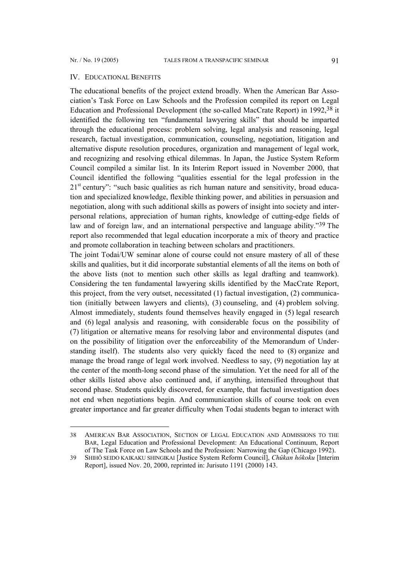l

#### IV. EDUCATIONAL BENEFITS

The educational benefits of the project extend broadly. When the American Bar Association's Task Force on Law Schools and the Profession compiled its report on Legal Education and Professional Development (the so-called MacCrate Report) in 1992[,38](#page-22-0) it identified the following ten "fundamental lawyering skills" that should be imparted through the educational process: problem solving, legal analysis and reasoning, legal research, factual investigation, communication, counseling, negotiation, litigation and alternative dispute resolution procedures, organization and management of legal work, and recognizing and resolving ethical dilemmas. In Japan, the Justice System Reform Council compiled a similar list. In its Interim Report issued in November 2000, that Council identified the following "qualities essential for the legal profession in the  $21<sup>st</sup>$  century": "such basic qualities as rich human nature and sensitivity, broad education and specialized knowledge, flexible thinking power, and abilities in persuasion and negotiation, along with such additional skills as powers of insight into society and interpersonal relations, appreciation of human rights, knowledge of cutting-edge fields of law and of foreign law, and an international perspective and language ability."<sup>39</sup> The report also recommended that legal education incorporate a mix of theory and practice and promote collaboration in teaching between scholars and practitioners.

The joint Todai/UW seminar alone of course could not ensure mastery of all of these skills and qualities, but it did incorporate substantial elements of all the items on both of the above lists (not to mention such other skills as legal drafting and teamwork). Considering the ten fundamental lawyering skills identified by the MacCrate Report, this project, from the very outset, necessitated (1) factual investigation, (2) communication (initially between lawyers and clients), (3) counseling, and (4) problem solving. Almost immediately, students found themselves heavily engaged in (5) legal research and (6) legal analysis and reasoning, with considerable focus on the possibility of (7) litigation or alternative means for resolving labor and environmental disputes (and on the possibility of litigation over the enforceability of the Memorandum of Understanding itself). The students also very quickly faced the need to (8) organize and manage the broad range of legal work involved. Needless to say, (9) negotiation lay at the center of the month-long second phase of the simulation. Yet the need for all of the other skills listed above also continued and, if anything, intensified throughout that second phase. Students quickly discovered, for example, that factual investigation does not end when negotiations begin. And communication skills of course took on even greater importance and far greater difficulty when Todai students began to interact with

<span id="page-22-0"></span><sup>38</sup> AMERICAN BAR ASSOCIATION, SECTION OF LEGAL EDUCATION AND ADMISSIONS TO THE BAR, Legal Education and Professional Development: An Educational Continuum, Report of The Task Force on Law Schools and the Profession: Narrowing the Gap (Chicago 1992).

<span id="page-22-1"></span><sup>39</sup> SHIHÔ SEIDO KAIKAKU SHINGIKAI [Justice System Reform Council], *Chûkan hôkoku* [Interim Report], issued Nov. 20, 2000, reprinted in: Jurisuto 1191 (2000) 143.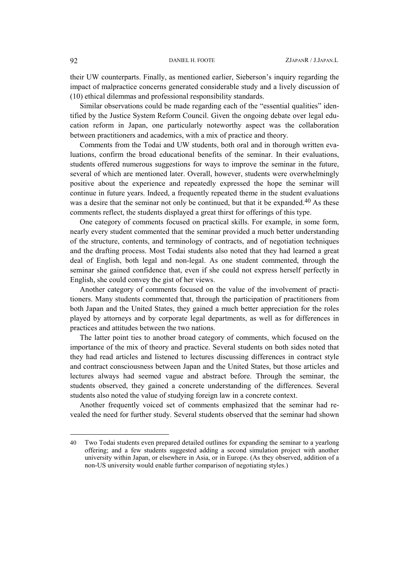their UW counterparts. Finally, as mentioned earlier, Sieberson's inquiry regarding the impact of malpractice concerns generated considerable study and a lively discussion of (10) ethical dilemmas and professional responsibility standards.

Similar observations could be made regarding each of the "essential qualities" identified by the Justice System Reform Council. Given the ongoing debate over legal education reform in Japan, one particularly noteworthy aspect was the collaboration between practitioners and academics, with a mix of practice and theory.

Comments from the Todai and UW students, both oral and in thorough written evaluations, confirm the broad educational benefits of the seminar. In their evaluations, students offered numerous suggestions for ways to improve the seminar in the future, several of which are mentioned later. Overall, however, students were overwhelmingly positive about the experience and repeatedly expressed the hope the seminar will continue in future years. Indeed, a frequently repeated theme in the student evaluations was a desire that the seminar not only be continued, but that it be expanded.<sup>40</sup> As these comments reflect, the students displayed a great thirst for offerings of this type.

One category of comments focused on practical skills. For example, in some form, nearly every student commented that the seminar provided a much better understanding of the structure, contents, and terminology of contracts, and of negotiation techniques and the drafting process. Most Todai students also noted that they had learned a great deal of English, both legal and non-legal. As one student commented, through the seminar she gained confidence that, even if she could not express herself perfectly in English, she could convey the gist of her views.

Another category of comments focused on the value of the involvement of practitioners. Many students commented that, through the participation of practitioners from both Japan and the United States, they gained a much better appreciation for the roles played by attorneys and by corporate legal departments, as well as for differences in practices and attitudes between the two nations.

The latter point ties to another broad category of comments, which focused on the importance of the mix of theory and practice. Several students on both sides noted that they had read articles and listened to lectures discussing differences in contract style and contract consciousness between Japan and the United States, but those articles and lectures always had seemed vague and abstract before. Through the seminar, the students observed, they gained a concrete understanding of the differences. Several students also noted the value of studying foreign law in a concrete context.

Another frequently voiced set of comments emphasized that the seminar had revealed the need for further study. Several students observed that the seminar had shown

l

<span id="page-23-0"></span><sup>40</sup> Two Todai students even prepared detailed outlines for expanding the seminar to a yearlong offering; and a few students suggested adding a second simulation project with another university within Japan, or elsewhere in Asia, or in Europe. (As they observed, addition of a non-US university would enable further comparison of negotiating styles.)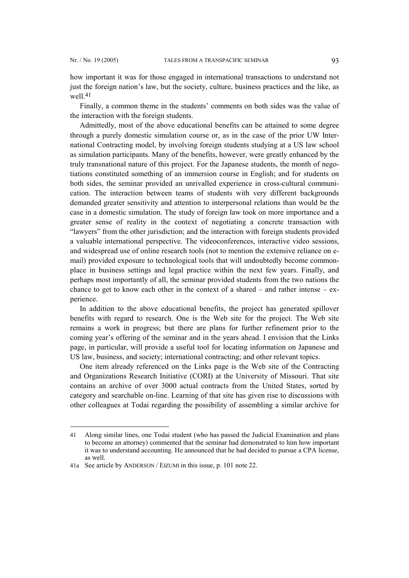l

how important it was for those engaged in international transactions to understand not just the foreign nation's law, but the society, culture, business practices and the like, as well 41

Finally, a common theme in the students' comments on both sides was the value of the interaction with the foreign students.

Admittedly, most of the above educational benefits can be attained to some degree through a purely domestic simulation course or, as in the case of the prior UW International Contracting model, by involving foreign students studying at a US law school as simulation participants. Many of the benefits, however, were greatly enhanced by the truly transnational nature of this project. For the Japanese students, the month of negotiations constituted something of an immersion course in English; and for students on both sides, the seminar provided an unrivalled experience in cross-cultural communication. The interaction between teams of students with very different backgrounds demanded greater sensitivity and attention to interpersonal relations than would be the case in a domestic simulation. The study of foreign law took on more importance and a greater sense of reality in the context of negotiating a concrete transaction with "lawyers" from the other jurisdiction; and the interaction with foreign students provided a valuable international perspective. The videoconferences, interactive video sessions, and widespread use of online research tools (not to mention the extensive reliance on email) provided exposure to technological tools that will undoubtedly become commonplace in business settings and legal practice within the next few years. Finally, and perhaps most importantly of all, the seminar provided students from the two nations the chance to get to know each other in the context of a shared – and rather intense – experience.

In addition to the above educational benefits, the project has generated spillover benefits with regard to research. One is the Web site for the project. The Web site remains a work in progress; but there are plans for further refinement prior to the coming year's offering of the seminar and in the years ahead. I envision that the Links page, in particular, will provide a useful tool for locating information on Japanese and US law, business, and society; international contracting; and other relevant topics.

One item already referenced on the Links page is the Web site of the Contracting and Organizations Research Initiative (CORI) at the University of Missouri. That site contains an archive of over 3000 actual contracts from the United States, sorted by category and searchable on-line. Learning of that site has given rise to discussions with other colleagues at Todai regarding the possibility of assembling a similar archive for

<span id="page-24-0"></span><sup>41</sup> Along similar lines, one Todai student (who has passed the Judicial Examination and plans to become an attorney) commented that the seminar had demonstrated to him how important it was to understand accounting. He announced that he had decided to pursue a CPA license, as well.

<sup>41</sup>a See article by ANDERSON / EIZUMI in this issue, p. 101 note 22.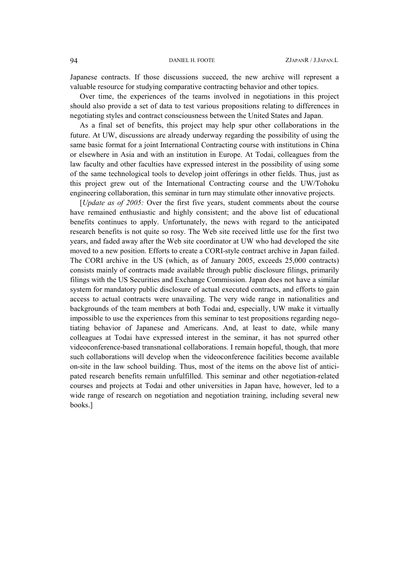Japanese contracts. If those discussions succeed, the new archive will represent a valuable resource for studying comparative contracting behavior and other topics.

Over time, the experiences of the teams involved in negotiations in this project should also provide a set of data to test various propositions relating to differences in negotiating styles and contract consciousness between the United States and Japan.

As a final set of benefits, this project may help spur other collaborations in the future. At UW, discussions are already underway regarding the possibility of using the same basic format for a joint International Contracting course with institutions in China or elsewhere in Asia and with an institution in Europe. At Todai, colleagues from the law faculty and other faculties have expressed interest in the possibility of using some of the same technological tools to develop joint offerings in other fields. Thus, just as this project grew out of the International Contracting course and the UW/Tohoku engineering collaboration, this seminar in turn may stimulate other innovative projects.

[*Update as of 2005:* Over the first five years, student comments about the course have remained enthusiastic and highly consistent; and the above list of educational benefits continues to apply. Unfortunately, the news with regard to the anticipated research benefits is not quite so rosy. The Web site received little use for the first two years, and faded away after the Web site coordinator at UW who had developed the site moved to a new position. Efforts to create a CORI-style contract archive in Japan failed. The CORI archive in the US (which, as of January 2005, exceeds 25,000 contracts) consists mainly of contracts made available through public disclosure filings, primarily filings with the US Securities and Exchange Commission. Japan does not have a similar system for mandatory public disclosure of actual executed contracts, and efforts to gain access to actual contracts were unavailing. The very wide range in nationalities and backgrounds of the team members at both Todai and, especially, UW make it virtually impossible to use the experiences from this seminar to test propositions regarding negotiating behavior of Japanese and Americans. And, at least to date, while many colleagues at Todai have expressed interest in the seminar, it has not spurred other videoconference-based transnational collaborations. I remain hopeful, though, that more such collaborations will develop when the videoconference facilities become available on-site in the law school building. Thus, most of the items on the above list of anticipated research benefits remain unfulfilled. This seminar and other negotiation-related courses and projects at Todai and other universities in Japan have, however, led to a wide range of research on negotiation and negotiation training, including several new books.]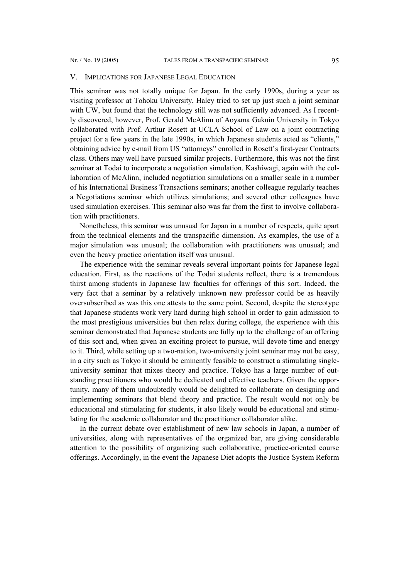#### V. IMPLICATIONS FOR JAPANESE LEGAL EDUCATION

This seminar was not totally unique for Japan. In the early 1990s, during a year as visiting professor at Tohoku University, Haley tried to set up just such a joint seminar with UW, but found that the technology still was not sufficiently advanced. As I recently discovered, however, Prof. Gerald McAlinn of Aoyama Gakuin University in Tokyo collaborated with Prof. Arthur Rosett at UCLA School of Law on a joint contracting project for a few years in the late 1990s, in which Japanese students acted as "clients," obtaining advice by e-mail from US "attorneys" enrolled in Rosett's first-year Contracts class. Others may well have pursued similar projects. Furthermore, this was not the first seminar at Todai to incorporate a negotiation simulation. Kashiwagi, again with the collaboration of McAlinn, included negotiation simulations on a smaller scale in a number of his International Business Transactions seminars; another colleague regularly teaches a Negotiations seminar which utilizes simulations; and several other colleagues have used simulation exercises. This seminar also was far from the first to involve collaboration with practitioners.

Nonetheless, this seminar was unusual for Japan in a number of respects, quite apart from the technical elements and the transpacific dimension. As examples, the use of a major simulation was unusual; the collaboration with practitioners was unusual; and even the heavy practice orientation itself was unusual.

The experience with the seminar reveals several important points for Japanese legal education. First, as the reactions of the Todai students reflect, there is a tremendous thirst among students in Japanese law faculties for offerings of this sort. Indeed, the very fact that a seminar by a relatively unknown new professor could be as heavily oversubscribed as was this one attests to the same point. Second, despite the stereotype that Japanese students work very hard during high school in order to gain admission to the most prestigious universities but then relax during college, the experience with this seminar demonstrated that Japanese students are fully up to the challenge of an offering of this sort and, when given an exciting project to pursue, will devote time and energy to it. Third, while setting up a two-nation, two-university joint seminar may not be easy, in a city such as Tokyo it should be eminently feasible to construct a stimulating singleuniversity seminar that mixes theory and practice. Tokyo has a large number of outstanding practitioners who would be dedicated and effective teachers. Given the opportunity, many of them undoubtedly would be delighted to collaborate on designing and implementing seminars that blend theory and practice. The result would not only be educational and stimulating for students, it also likely would be educational and stimulating for the academic collaborator and the practitioner collaborator alike.

In the current debate over establishment of new law schools in Japan, a number of universities, along with representatives of the organized bar, are giving considerable attention to the possibility of organizing such collaborative, practice-oriented course offerings. Accordingly, in the event the Japanese Diet adopts the Justice System Reform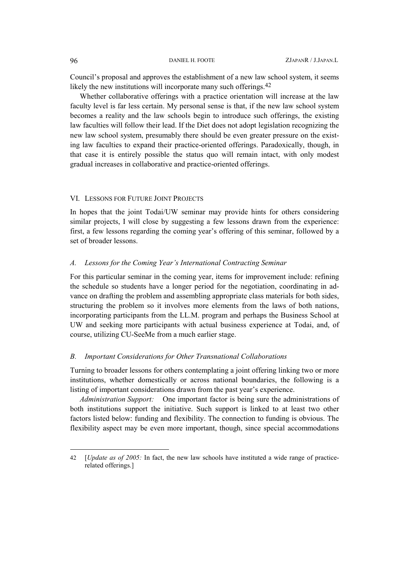Council's proposal and approves the establishment of a new law school system, it seems likely the new institutions will incorporate many such offerings.<sup>42</sup>

Whether collaborative offerings with a practice orientation will increase at the law faculty level is far less certain. My personal sense is that, if the new law school system becomes a reality and the law schools begin to introduce such offerings, the existing law faculties will follow their lead. If the Diet does not adopt legislation recognizing the new law school system, presumably there should be even greater pressure on the existing law faculties to expand their practice-oriented offerings. Paradoxically, though, in that case it is entirely possible the status quo will remain intact, with only modest gradual increases in collaborative and practice-oriented offerings.

#### VI. LESSONS FOR FUTURE JOINT PROJECTS

In hopes that the joint Todai/UW seminar may provide hints for others considering similar projects, I will close by suggesting a few lessons drawn from the experience: first, a few lessons regarding the coming year's offering of this seminar, followed by a set of broader lessons.

#### *A. Lessons for the Coming Year's International Contracting Seminar*

For this particular seminar in the coming year, items for improvement include: refining the schedule so students have a longer period for the negotiation, coordinating in advance on drafting the problem and assembling appropriate class materials for both sides, structuring the problem so it involves more elements from the laws of both nations, incorporating participants from the LL.M. program and perhaps the Business School at UW and seeking more participants with actual business experience at Todai, and, of course, utilizing CU-SeeMe from a much earlier stage.

### *B. Important Considerations for Other Transnational Collaborations*

Turning to broader lessons for others contemplating a joint offering linking two or more institutions, whether domestically or across national boundaries, the following is a listing of important considerations drawn from the past year's experience.

*Administration Support:* One important factor is being sure the administrations of both institutions support the initiative. Such support is linked to at least two other factors listed below: funding and flexibility. The connection to funding is obvious. The flexibility aspect may be even more important, though, since special accommodations

l

<span id="page-27-0"></span><sup>42 [</sup>*Update as of 2005:* In fact, the new law schools have instituted a wide range of practicerelated offerings.]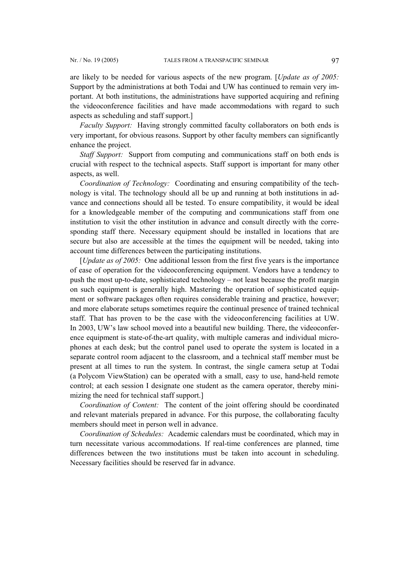are likely to be needed for various aspects of the new program. [*Update as of 2005:* Support by the administrations at both Todai and UW has continued to remain very important. At both institutions, the administrations have supported acquiring and refining the videoconference facilities and have made accommodations with regard to such aspects as scheduling and staff support.]

*Faculty Support:* Having strongly committed faculty collaborators on both ends is very important, for obvious reasons. Support by other faculty members can significantly enhance the project.

*Staff Support:* Support from computing and communications staff on both ends is crucial with respect to the technical aspects. Staff support is important for many other aspects, as well.

*Coordination of Technology:* Coordinating and ensuring compatibility of the technology is vital. The technology should all be up and running at both institutions in advance and connections should all be tested. To ensure compatibility, it would be ideal for a knowledgeable member of the computing and communications staff from one institution to visit the other institution in advance and consult directly with the corresponding staff there. Necessary equipment should be installed in locations that are secure but also are accessible at the times the equipment will be needed, taking into account time differences between the participating institutions.

[*Update as of 2005:* One additional lesson from the first five years is the importance of ease of operation for the videoconferencing equipment. Vendors have a tendency to push the most up-to-date, sophisticated technology – not least because the profit margin on such equipment is generally high. Mastering the operation of sophisticated equipment or software packages often requires considerable training and practice, however; and more elaborate setups sometimes require the continual presence of trained technical staff. That has proven to be the case with the videoconferencing facilities at UW. In 2003, UW's law school moved into a beautiful new building. There, the videoconference equipment is state-of-the-art quality, with multiple cameras and individual microphones at each desk; but the control panel used to operate the system is located in a separate control room adjacent to the classroom, and a technical staff member must be present at all times to run the system. In contrast, the single camera setup at Todai (a Polycom ViewStation) can be operated with a small, easy to use, hand-held remote control; at each session I designate one student as the camera operator, thereby minimizing the need for technical staff support.]

*Coordination of Content:* The content of the joint offering should be coordinated and relevant materials prepared in advance. For this purpose, the collaborating faculty members should meet in person well in advance.

*Coordination of Schedules:* Academic calendars must be coordinated, which may in turn necessitate various accommodations. If real-time conferences are planned, time differences between the two institutions must be taken into account in scheduling. Necessary facilities should be reserved far in advance.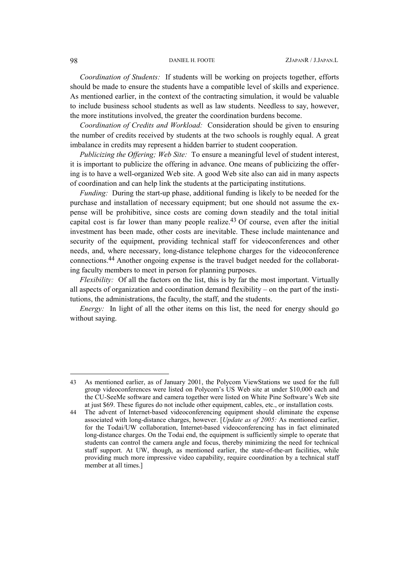*Coordination of Students:* If students will be working on projects together, efforts should be made to ensure the students have a compatible level of skills and experience. As mentioned earlier, in the context of the contracting simulation, it would be valuable to include business school students as well as law students. Needless to say, however, the more institutions involved, the greater the coordination burdens become.

*Coordination of Credits and Workload:* Consideration should be given to ensuring the number of credits received by students at the two schools is roughly equal. A great imbalance in credits may represent a hidden barrier to student cooperation.

*Publicizing the Offering; Web Site:* To ensure a meaningful level of student interest, it is important to publicize the offering in advance. One means of publicizing the offering is to have a well-organized Web site. A good Web site also can aid in many aspects of coordination and can help link the students at the participating institutions.

*Funding:* During the start-up phase, additional funding is likely to be needed for the purchase and installation of necessary equipment; but one should not assume the expense will be prohibitive, since costs are coming down steadily and the total initial capital cost is far lower than many people realize.<sup>43</sup> Of course, even after the initial investment has been made, other costs are inevitable. These include maintenance and security of the equipment, providing technical staff for videoconferences and other needs, and, where necessary, long-distance telephone charges for the videoconference connections.[44](#page-29-1) Another ongoing expense is the travel budget needed for the collaborating faculty members to meet in person for planning purposes.

*Flexibility:* Of all the factors on the list, this is by far the most important. Virtually all aspects of organization and coordination demand flexibility – on the part of the institutions, the administrations, the faculty, the staff, and the students.

*Energy:* In light of all the other items on this list, the need for energy should go without saying.

 $\overline{\phantom{a}}$ 

<span id="page-29-0"></span><sup>43</sup> As mentioned earlier, as of January 2001, the Polycom ViewStations we used for the full group videoconferences were listed on Polycom's US Web site at under \$10,000 each and the CU-SeeMe software and camera together were listed on White Pine Software's Web site at just \$69. These figures do not include other equipment, cables, etc., or installation costs.

<span id="page-29-1"></span><sup>44</sup> The advent of Internet-based videoconferencing equipment should eliminate the expense associated with long-distance charges, however. [*Update as of 2005:* As mentioned earlier, for the Todai/UW collaboration, Internet-based videoconferencing has in fact eliminated long-distance charges. On the Todai end, the equipment is sufficiently simple to operate that students can control the camera angle and focus, thereby minimizing the need for technical staff support. At UW, though, as mentioned earlier, the state-of-the-art facilities, while providing much more impressive video capability, require coordination by a technical staff member at all times.]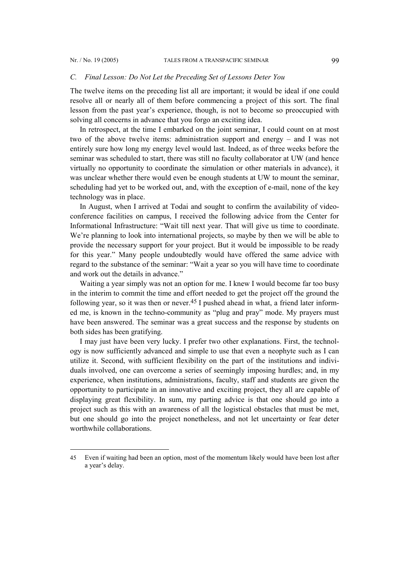l

#### *C. Final Lesson: Do Not Let the Preceding Set of Lessons Deter You*

The twelve items on the preceding list all are important; it would be ideal if one could resolve all or nearly all of them before commencing a project of this sort. The final lesson from the past year's experience, though, is not to become so preoccupied with solving all concerns in advance that you forgo an exciting idea.

In retrospect, at the time I embarked on the joint seminar, I could count on at most two of the above twelve items: administration support and energy – and I was not entirely sure how long my energy level would last. Indeed, as of three weeks before the seminar was scheduled to start, there was still no faculty collaborator at UW (and hence virtually no opportunity to coordinate the simulation or other materials in advance), it was unclear whether there would even be enough students at UW to mount the seminar, scheduling had yet to be worked out, and, with the exception of e-mail, none of the key technology was in place.

In August, when I arrived at Todai and sought to confirm the availability of videoconference facilities on campus, I received the following advice from the Center for Informational Infrastructure: "Wait till next year. That will give us time to coordinate. We're planning to look into international projects, so maybe by then we will be able to provide the necessary support for your project. But it would be impossible to be ready for this year." Many people undoubtedly would have offered the same advice with regard to the substance of the seminar: "Wait a year so you will have time to coordinate and work out the details in advance."

Waiting a year simply was not an option for me. I knew I would become far too busy in the interim to commit the time and effort needed to get the project off the ground the following year, so it was then or never.<sup>[45](#page-30-0)</sup> I pushed ahead in what, a friend later informed me, is known in the techno-community as "plug and pray" mode. My prayers must have been answered. The seminar was a great success and the response by students on both sides has been gratifying.

I may just have been very lucky. I prefer two other explanations. First, the technology is now sufficiently advanced and simple to use that even a neophyte such as I can utilize it. Second, with sufficient flexibility on the part of the institutions and individuals involved, one can overcome a series of seemingly imposing hurdles; and, in my experience, when institutions, administrations, faculty, staff and students are given the opportunity to participate in an innovative and exciting project, they all are capable of displaying great flexibility. In sum, my parting advice is that one should go into a project such as this with an awareness of all the logistical obstacles that must be met, but one should go into the project nonetheless, and not let uncertainty or fear deter worthwhile collaborations.

<span id="page-30-0"></span><sup>45</sup> Even if waiting had been an option, most of the momentum likely would have been lost after a year's delay.